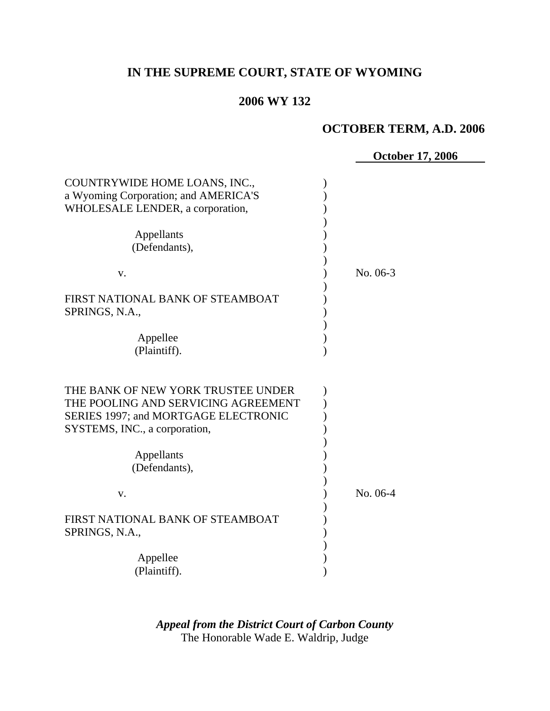# **IN THE SUPREME COURT, STATE OF WYOMING**

# **2006 WY 132**

## **OCTOBER TERM, A.D. 2006**

|                                             | October 17, 2006 |
|---------------------------------------------|------------------|
|                                             |                  |
| COUNTRYWIDE HOME LOANS, INC.,               |                  |
| a Wyoming Corporation; and AMERICA'S        |                  |
| WHOLESALE LENDER, a corporation,            |                  |
|                                             |                  |
| Appellants                                  |                  |
| (Defendants),                               |                  |
|                                             |                  |
| V.                                          | No. 06-3         |
|                                             |                  |
| FIRST NATIONAL BANK OF STEAMBOAT            |                  |
| SPRINGS, N.A.,                              |                  |
|                                             |                  |
| Appellee                                    |                  |
| (Plaintiff).                                |                  |
|                                             |                  |
| THE BANK OF NEW YORK TRUSTEE UNDER          |                  |
| THE POOLING AND SERVICING AGREEMENT         |                  |
| <b>SERIES 1997; and MORTGAGE ELECTRONIC</b> |                  |
| SYSTEMS, INC., a corporation,               |                  |
|                                             |                  |
| Appellants                                  |                  |
| (Defendants),                               |                  |
|                                             |                  |
| V.                                          | No. 06-4         |
|                                             |                  |
| FIRST NATIONAL BANK OF STEAMBOAT            |                  |
| SPRINGS, N.A.,                              |                  |
|                                             |                  |
| Appellee                                    |                  |
| (Plaintiff).                                |                  |
|                                             |                  |

*Appeal from the District Court of Carbon County* The Honorable Wade E. Waldrip, Judge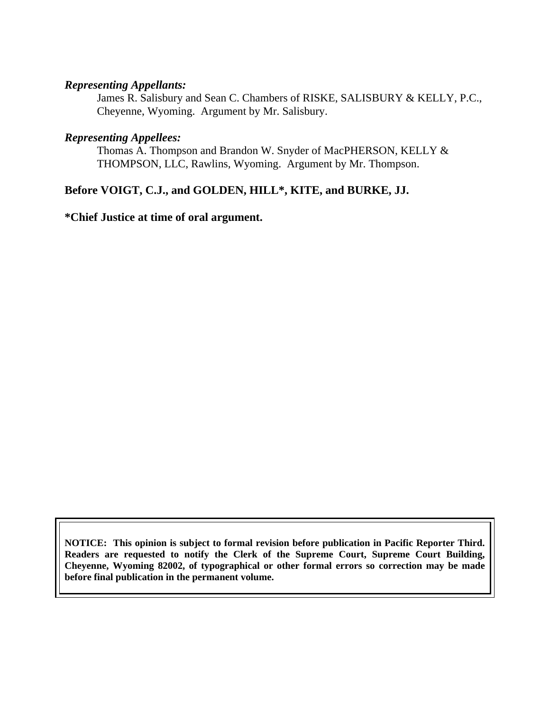#### *Representing Appellants:*

James R. Salisbury and Sean C. Chambers of RISKE, SALISBURY & KELLY, P.C., Cheyenne, Wyoming. Argument by Mr. Salisbury.

#### *Representing Appellees:*

Thomas A. Thompson and Brandon W. Snyder of MacPHERSON, KELLY & THOMPSON, LLC, Rawlins, Wyoming. Argument by Mr. Thompson.

## **Before VOIGT, C.J., and GOLDEN, HILL\*, KITE, and BURKE, JJ.**

#### **\*Chief Justice at time of oral argument.**

**NOTICE: This opinion is subject to formal revision before publication in Pacific Reporter Third. Readers are requested to notify the Clerk of the Supreme Court, Supreme Court Building, Cheyenne, Wyoming 82002, of typographical or other formal errors so correction may be made before final publication in the permanent volume.**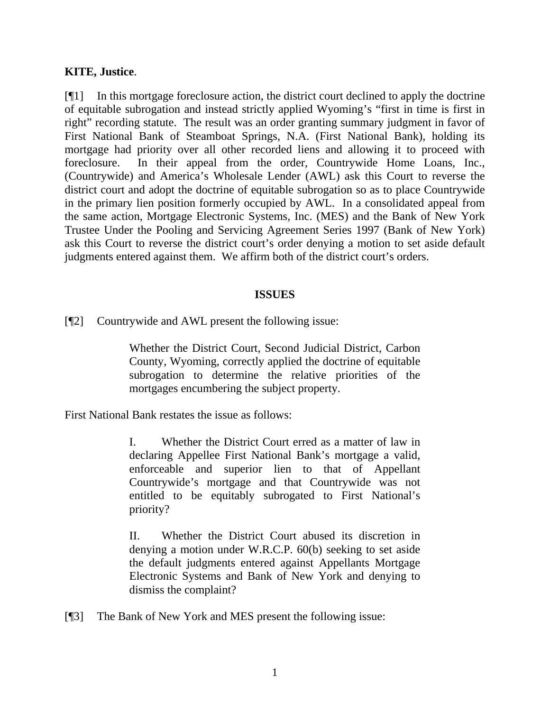#### **KITE, Justice**.

[¶1] In this mortgage foreclosure action, the district court declined to apply the doctrine of equitable subrogation and instead strictly applied Wyoming's "first in time is first in right" recording statute. The result was an order granting summary judgment in favor of First National Bank of Steamboat Springs, N.A. (First National Bank), holding its mortgage had priority over all other recorded liens and allowing it to proceed with foreclosure. In their appeal from the order, Countrywide Home Loans, Inc., (Countrywide) and America's Wholesale Lender (AWL) ask this Court to reverse the district court and adopt the doctrine of equitable subrogation so as to place Countrywide in the primary lien position formerly occupied by AWL. In a consolidated appeal from the same action, Mortgage Electronic Systems, Inc. (MES) and the Bank of New York Trustee Under the Pooling and Servicing Agreement Series 1997 (Bank of New York) ask this Court to reverse the district court's order denying a motion to set aside default judgments entered against them. We affirm both of the district court's orders.

#### **ISSUES**

[¶2] Countrywide and AWL present the following issue:

Whether the District Court, Second Judicial District, Carbon County, Wyoming, correctly applied the doctrine of equitable subrogation to determine the relative priorities of the mortgages encumbering the subject property.

First National Bank restates the issue as follows:

I. Whether the District Court erred as a matter of law in declaring Appellee First National Bank's mortgage a valid, enforceable and superior lien to that of Appellant Countrywide's mortgage and that Countrywide was not entitled to be equitably subrogated to First National's priority?

II. Whether the District Court abused its discretion in denying a motion under W.R.C.P. 60(b) seeking to set aside the default judgments entered against Appellants Mortgage Electronic Systems and Bank of New York and denying to dismiss the complaint?

[¶3] The Bank of New York and MES present the following issue: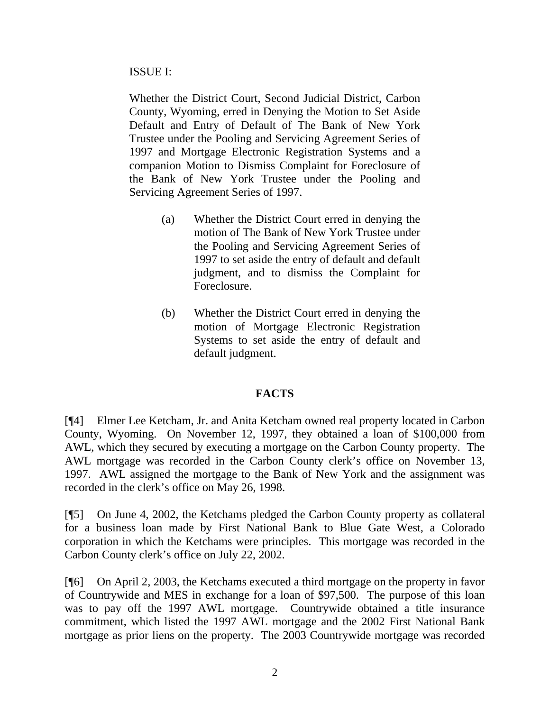ISSUE I:

Whether the District Court, Second Judicial District, Carbon County, Wyoming, erred in Denying the Motion to Set Aside Default and Entry of Default of The Bank of New York Trustee under the Pooling and Servicing Agreement Series of 1997 and Mortgage Electronic Registration Systems and a companion Motion to Dismiss Complaint for Foreclosure of the Bank of New York Trustee under the Pooling and Servicing Agreement Series of 1997.

- (a) Whether the District Court erred in denying the motion of The Bank of New York Trustee under the Pooling and Servicing Agreement Series of 1997 to set aside the entry of default and default judgment, and to dismiss the Complaint for Foreclosure.
- (b) Whether the District Court erred in denying the motion of Mortgage Electronic Registration Systems to set aside the entry of default and default judgment.

## **FACTS**

[¶4] Elmer Lee Ketcham, Jr. and Anita Ketcham owned real property located in Carbon County, Wyoming. On November 12, 1997, they obtained a loan of \$100,000 from AWL, which they secured by executing a mortgage on the Carbon County property. The AWL mortgage was recorded in the Carbon County clerk's office on November 13, 1997. AWL assigned the mortgage to the Bank of New York and the assignment was recorded in the clerk's office on May 26, 1998.

[¶5] On June 4, 2002, the Ketchams pledged the Carbon County property as collateral for a business loan made by First National Bank to Blue Gate West, a Colorado corporation in which the Ketchams were principles. This mortgage was recorded in the Carbon County clerk's office on July 22, 2002.

[¶6] On April 2, 2003, the Ketchams executed a third mortgage on the property in favor of Countrywide and MES in exchange for a loan of \$97,500. The purpose of this loan was to pay off the 1997 AWL mortgage. Countrywide obtained a title insurance commitment, which listed the 1997 AWL mortgage and the 2002 First National Bank mortgage as prior liens on the property. The 2003 Countrywide mortgage was recorded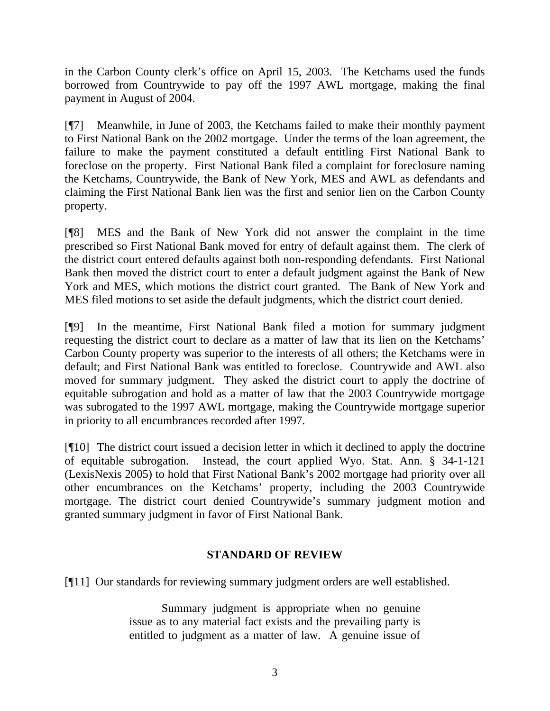in the Carbon County clerk's office on April 15, 2003. The Ketchams used the funds borrowed from Countrywide to pay off the 1997 AWL mortgage, making the final payment in August of 2004.

[¶7] Meanwhile, in June of 2003, the Ketchams failed to make their monthly payment to First National Bank on the 2002 mortgage. Under the terms of the loan agreement, the failure to make the payment constituted a default entitling First National Bank to foreclose on the property. First National Bank filed a complaint for foreclosure naming the Ketchams, Countrywide, the Bank of New York, MES and AWL as defendants and claiming the First National Bank lien was the first and senior lien on the Carbon County property.

[¶8] MES and the Bank of New York did not answer the complaint in the time prescribed so First National Bank moved for entry of default against them. The clerk of the district court entered defaults against both non-responding defendants. First National Bank then moved the district court to enter a default judgment against the Bank of New York and MES, which motions the district court granted. The Bank of New York and MES filed motions to set aside the default judgments, which the district court denied.

[¶9] In the meantime, First National Bank filed a motion for summary judgment requesting the district court to declare as a matter of law that its lien on the Ketchams' Carbon County property was superior to the interests of all others; the Ketchams were in default; and First National Bank was entitled to foreclose. Countrywide and AWL also moved for summary judgment. They asked the district court to apply the doctrine of equitable subrogation and hold as a matter of law that the 2003 Countrywide mortgage was subrogated to the 1997 AWL mortgage, making the Countrywide mortgage superior in priority to all encumbrances recorded after 1997.

[¶10] The district court issued a decision letter in which it declined to apply the doctrine of equitable subrogation. Instead, the court applied Wyo. Stat. Ann. § 34-1-121 (LexisNexis 2005) to hold that First National Bank's 2002 mortgage had priority over all other encumbrances on the Ketchams' property, including the 2003 Countrywide mortgage. The district court denied Countrywide's summary judgment motion and granted summary judgment in favor of First National Bank.

## **STANDARD OF REVIEW**

[¶11] Our standards for reviewing summary judgment orders are well established.

Summary judgment is appropriate when no genuine issue as to any material fact exists and the prevailing party is entitled to judgment as a matter of law. A genuine issue of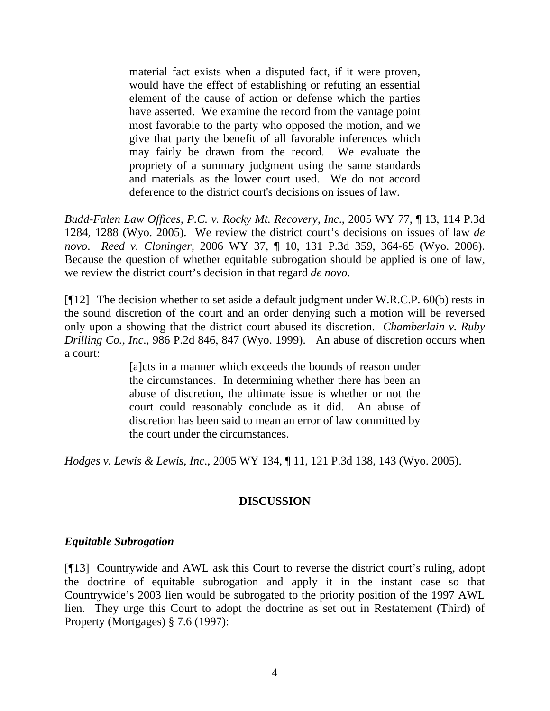material fact exists when a disputed fact, if it were proven, would have the effect of establishing or refuting an essential element of the cause of action or defense which the parties have asserted. We examine the record from the vantage point most favorable to the party who opposed the motion, and we give that party the benefit of all favorable inferences which may fairly be drawn from the record. We evaluate the propriety of a summary judgment using the same standards and materials as the lower court used. We do not accord deference to the district court's decisions on issues of law.

*Budd-Falen Law Offices, P.C. v. Rocky Mt. Recovery, Inc*., 2005 WY 77, ¶ 13, 114 P.3d 1284, 1288 (Wyo. 2005). We review the district court's decisions on issues of law *de novo*. *Reed v. Cloninger,* 2006 WY 37, ¶ 10, 131 P.3d 359, 364-65 (Wyo. 2006). Because the question of whether equitable subrogation should be applied is one of law, we review the district court's decision in that regard *de novo*.

[¶12] The decision whether to set aside a default judgment under W.R.C.P. 60(b) rests in the sound discretion of the court and an order denying such a motion will be reversed only upon a showing that the district court abused its discretion. *Chamberlain v. Ruby Drilling Co., Inc*., 986 P.2d 846, 847 (Wyo. 1999). An abuse of discretion occurs when a court:

> [a]cts in a manner which exceeds the bounds of reason under the circumstances. In determining whether there has been an abuse of discretion, the ultimate issue is whether or not the court could reasonably conclude as it did. An abuse of discretion has been said to mean an error of law committed by the court under the circumstances.

*Hodges v. Lewis & Lewis, Inc*., 2005 WY 134, ¶ 11, 121 P.3d 138, 143 (Wyo. 2005).

## **DISCUSSION**

## *Equitable Subrogation*

[¶13] Countrywide and AWL ask this Court to reverse the district court's ruling, adopt the doctrine of equitable subrogation and apply it in the instant case so that Countrywide's 2003 lien would be subrogated to the priority position of the 1997 AWL lien. They urge this Court to adopt the doctrine as set out in Restatement (Third) of Property (Mortgages) § 7.6 (1997):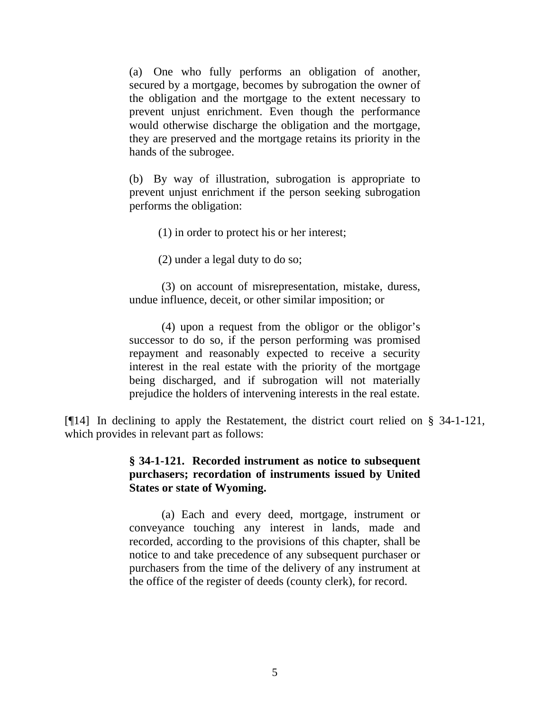(a) One who fully performs an obligation of another, secured by a mortgage, becomes by subrogation the owner of the obligation and the mortgage to the extent necessary to prevent unjust enrichment. Even though the performance would otherwise discharge the obligation and the mortgage, they are preserved and the mortgage retains its priority in the hands of the subrogee.

(b) By way of illustration, subrogation is appropriate to prevent unjust enrichment if the person seeking subrogation performs the obligation:

(1) in order to protect his or her interest;

(2) under a legal duty to do so;

(3) on account of misrepresentation, mistake, duress, undue influence, deceit, or other similar imposition; or

(4) upon a request from the obligor or the obligor's successor to do so, if the person performing was promised repayment and reasonably expected to receive a security interest in the real estate with the priority of the mortgage being discharged, and if subrogation will not materially prejudice the holders of intervening interests in the real estate.

[¶14] In declining to apply the Restatement, the district court relied on § 34-1-121, which provides in relevant part as follows:

## **§ 34-1-121. Recorded instrument as notice to subsequent purchasers; recordation of instruments issued by United States or state of Wyoming.**

(a) Each and every deed, mortgage, instrument or conveyance touching any interest in lands, made and recorded, according to the provisions of this chapter, shall be notice to and take precedence of any subsequent purchaser or purchasers from the time of the delivery of any instrument at the office of the register of deeds (county clerk), for record.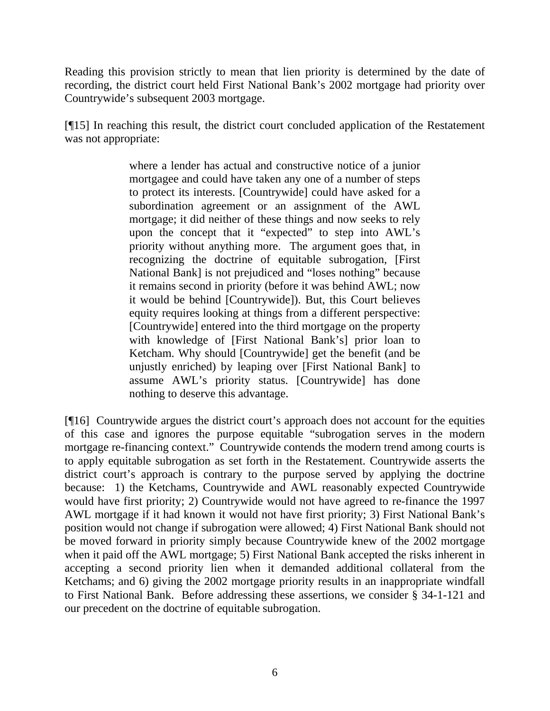Reading this provision strictly to mean that lien priority is determined by the date of recording, the district court held First National Bank's 2002 mortgage had priority over Countrywide's subsequent 2003 mortgage.

[¶15] In reaching this result, the district court concluded application of the Restatement was not appropriate:

> where a lender has actual and constructive notice of a junior mortgagee and could have taken any one of a number of steps to protect its interests. [Countrywide] could have asked for a subordination agreement or an assignment of the AWL mortgage; it did neither of these things and now seeks to rely upon the concept that it "expected" to step into AWL's priority without anything more. The argument goes that, in recognizing the doctrine of equitable subrogation, [First National Bank] is not prejudiced and "loses nothing" because it remains second in priority (before it was behind AWL; now it would be behind [Countrywide]). But, this Court believes equity requires looking at things from a different perspective: [Countrywide] entered into the third mortgage on the property with knowledge of [First National Bank's] prior loan to Ketcham. Why should [Countrywide] get the benefit (and be unjustly enriched) by leaping over [First National Bank] to assume AWL's priority status. [Countrywide] has done nothing to deserve this advantage.

[¶16] Countrywide argues the district court's approach does not account for the equities of this case and ignores the purpose equitable "subrogation serves in the modern mortgage re-financing context." Countrywide contends the modern trend among courts is to apply equitable subrogation as set forth in the Restatement. Countrywide asserts the district court's approach is contrary to the purpose served by applying the doctrine because: 1) the Ketchams, Countrywide and AWL reasonably expected Countrywide would have first priority; 2) Countrywide would not have agreed to re-finance the 1997 AWL mortgage if it had known it would not have first priority; 3) First National Bank's position would not change if subrogation were allowed; 4) First National Bank should not be moved forward in priority simply because Countrywide knew of the 2002 mortgage when it paid off the AWL mortgage; 5) First National Bank accepted the risks inherent in accepting a second priority lien when it demanded additional collateral from the Ketchams; and 6) giving the 2002 mortgage priority results in an inappropriate windfall to First National Bank. Before addressing these assertions, we consider § 34-1-121 and our precedent on the doctrine of equitable subrogation.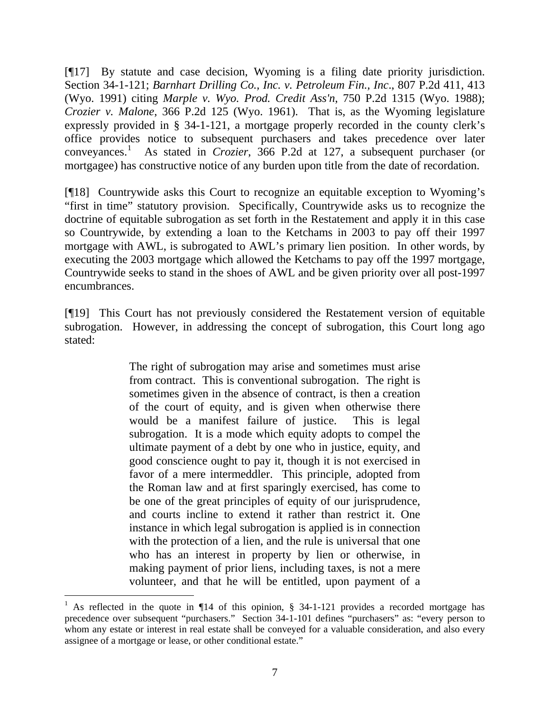[¶17] By statute and case decision, Wyoming is a filing date priority jurisdiction. Section 34-1-121; *Barnhart Drilling Co., Inc. v. Petroleum Fin., Inc*., 807 P.2d 411, 413 (Wyo. 1991) citing *Marple v. Wyo. Prod. Credit Ass'n*, 750 P.2d 1315 (Wyo. 1988); *Crozier v. Malone*, 366 P.2d 125 (Wyo. 1961). That is, as the Wyoming legislature expressly provided in § 34-1-121, a mortgage properly recorded in the county clerk's office provides notice to subsequent purchasers and takes precedence over later conveyances.[1](#page-9-0) As stated in *Crozier*, 366 P.2d at 127, a subsequent purchaser (or mortgagee) has constructive notice of any burden upon title from the date of recordation.

[¶18] Countrywide asks this Court to recognize an equitable exception to Wyoming's "first in time" statutory provision. Specifically, Countrywide asks us to recognize the doctrine of equitable subrogation as set forth in the Restatement and apply it in this case so Countrywide, by extending a loan to the Ketchams in 2003 to pay off their 1997 mortgage with AWL, is subrogated to AWL's primary lien position. In other words, by executing the 2003 mortgage which allowed the Ketchams to pay off the 1997 mortgage, Countrywide seeks to stand in the shoes of AWL and be given priority over all post-1997 encumbrances.

[¶19] This Court has not previously considered the Restatement version of equitable subrogation. However, in addressing the concept of subrogation, this Court long ago stated:

> The right of subrogation may arise and sometimes must arise from contract. This is conventional subrogation. The right is sometimes given in the absence of contract, is then a creation of the court of equity, and is given when otherwise there would be a manifest failure of justice. This is legal subrogation. It is a mode which equity adopts to compel the ultimate payment of a debt by one who in justice, equity, and good conscience ought to pay it, though it is not exercised in favor of a mere intermeddler. This principle, adopted from the Roman law and at first sparingly exercised, has come to be one of the great principles of equity of our jurisprudence, and courts incline to extend it rather than restrict it. One instance in which legal subrogation is applied is in connection with the protection of a lien, and the rule is universal that one who has an interest in property by lien or otherwise, in making payment of prior liens, including taxes, is not a mere volunteer, and that he will be entitled, upon payment of a

l

<span id="page-9-0"></span><sup>1</sup> As reflected in the quote in ¶14 of this opinion, § 34-1-121 provides a recorded mortgage has precedence over subsequent "purchasers." Section 34-1-101 defines "purchasers" as: "every person to whom any estate or interest in real estate shall be conveyed for a valuable consideration, and also every assignee of a mortgage or lease, or other conditional estate."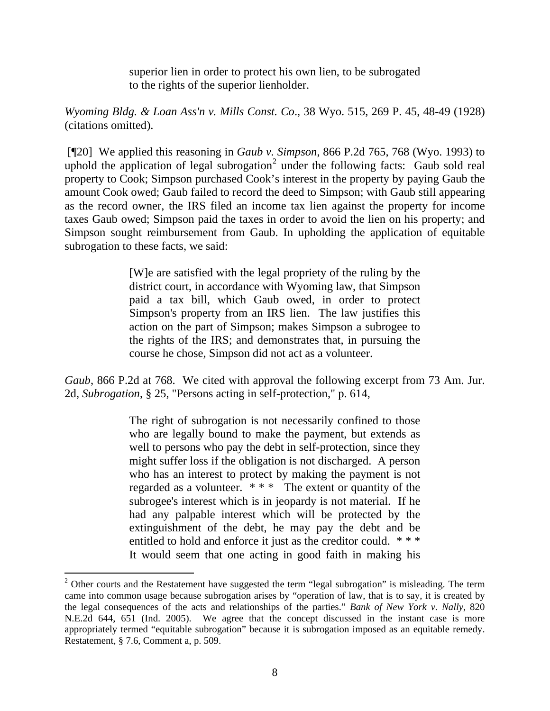superior lien in order to protect his own lien, to be subrogated to the rights of the superior lienholder.

*Wyoming Bldg. & Loan Ass'n v. Mills Const. Co*., 38 Wyo. 515, 269 P. 45, 48-49 (1928) (citations omitted).

 [¶20] We applied this reasoning in *Gaub v. Simpson*, 866 P.2d 765, 768 (Wyo. 1993) to uphold the application of legal subrogation<sup>[2](#page-10-0)</sup> under the following facts: Gaub sold real property to Cook; Simpson purchased Cook's interest in the property by paying Gaub the amount Cook owed; Gaub failed to record the deed to Simpson; with Gaub still appearing as the record owner, the IRS filed an income tax lien against the property for income taxes Gaub owed; Simpson paid the taxes in order to avoid the lien on his property; and Simpson sought reimbursement from Gaub. In upholding the application of equitable subrogation to these facts, we said:

> [W]e are satisfied with the legal propriety of the ruling by the district court, in accordance with Wyoming law, that Simpson paid a tax bill, which Gaub owed, in order to protect Simpson's property from an IRS lien. The law justifies this action on the part of Simpson; makes Simpson a subrogee to the rights of the IRS; and demonstrates that, in pursuing the course he chose, Simpson did not act as a volunteer.

*Gaub*, 866 P.2d at 768. We cited with approval the following excerpt from 73 Am. Jur. 2d, *Subrogation*, § 25, "Persons acting in self-protection," p. 614,

> The right of subrogation is not necessarily confined to those who are legally bound to make the payment, but extends as well to persons who pay the debt in self-protection, since they might suffer loss if the obligation is not discharged. A person who has an interest to protect by making the payment is not regarded as a volunteer. \*\*\* The extent or quantity of the subrogee's interest which is in jeopardy is not material. If he had any palpable interest which will be protected by the extinguishment of the debt, he may pay the debt and be entitled to hold and enforce it just as the creditor could. \*\*\* It would seem that one acting in good faith in making his

<span id="page-10-0"></span> $2$  Other courts and the Restatement have suggested the term "legal subrogation" is misleading. The term came into common usage because subrogation arises by "operation of law, that is to say, it is created by the legal consequences of the acts and relationships of the parties." *Bank of New York v. Nally*, 820 N.E.2d 644, 651 (Ind. 2005). We agree that the concept discussed in the instant case is more appropriately termed "equitable subrogation" because it is subrogation imposed as an equitable remedy. Restatement, § 7.6, Comment a, p. 509.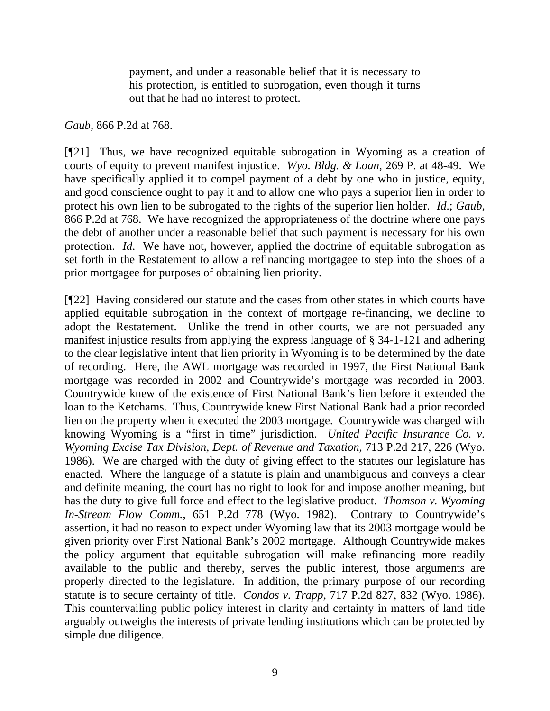payment, and under a reasonable belief that it is necessary to his protection, is entitled to subrogation, even though it turns out that he had no interest to protect.

#### *Gaub*, 866 P.2d at 768.

[¶21] Thus, we have recognized equitable subrogation in Wyoming as a creation of courts of equity to prevent manifest injustice. *Wyo. Bldg. & Loan*, 269 P. at 48-49. We have specifically applied it to compel payment of a debt by one who in justice, equity, and good conscience ought to pay it and to allow one who pays a superior lien in order to protect his own lien to be subrogated to the rights of the superior lien holder. *Id*.; *Gaub*, 866 P.2d at 768. We have recognized the appropriateness of the doctrine where one pays the debt of another under a reasonable belief that such payment is necessary for his own protection. *Id*. We have not, however, applied the doctrine of equitable subrogation as set forth in the Restatement to allow a refinancing mortgagee to step into the shoes of a prior mortgagee for purposes of obtaining lien priority.

[¶22] Having considered our statute and the cases from other states in which courts have applied equitable subrogation in the context of mortgage re-financing, we decline to adopt the Restatement. Unlike the trend in other courts, we are not persuaded any manifest injustice results from applying the express language of § 34-1-121 and adhering to the clear legislative intent that lien priority in Wyoming is to be determined by the date of recording. Here, the AWL mortgage was recorded in 1997, the First National Bank mortgage was recorded in 2002 and Countrywide's mortgage was recorded in 2003. Countrywide knew of the existence of First National Bank's lien before it extended the loan to the Ketchams. Thus, Countrywide knew First National Bank had a prior recorded lien on the property when it executed the 2003 mortgage. Countrywide was charged with knowing Wyoming is a "first in time" jurisdiction. *United Pacific Insurance Co. v. Wyoming Excise Tax Division, Dept. of Revenue and Taxation*, 713 P.2d 217, 226 (Wyo. 1986). We are charged with the duty of giving effect to the statutes our legislature has enacted. Where the language of a statute is plain and unambiguous and conveys a clear and definite meaning, the court has no right to look for and impose another meaning, but has the duty to give full force and effect to the legislative product. *Thomson v. Wyoming In-Stream Flow Comm.*, 651 P.2d 778 (Wyo. 1982). Contrary to Countrywide's assertion, it had no reason to expect under Wyoming law that its 2003 mortgage would be given priority over First National Bank's 2002 mortgage. Although Countrywide makes the policy argument that equitable subrogation will make refinancing more readily available to the public and thereby, serves the public interest, those arguments are properly directed to the legislature. In addition, the primary purpose of our recording statute is to secure certainty of title. *Condos v. Trapp*, 717 P.2d 827, 832 (Wyo. 1986). This countervailing public policy interest in clarity and certainty in matters of land title arguably outweighs the interests of private lending institutions which can be protected by simple due diligence.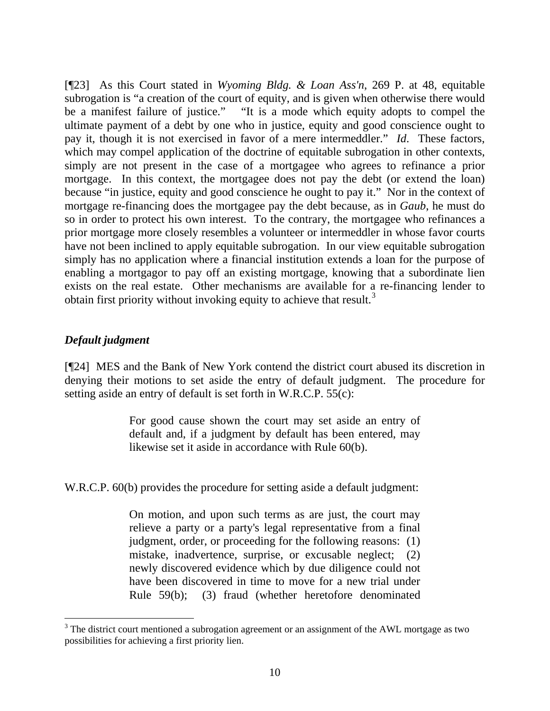[¶23] As this Court stated in *Wyoming Bldg. & Loan Ass'n*, 269 P. at 48, equitable subrogation is "a creation of the court of equity, and is given when otherwise there would be a manifest failure of justice." "It is a mode which equity adopts to compel the ultimate payment of a debt by one who in justice, equity and good conscience ought to pay it, though it is not exercised in favor of a mere intermeddler." *Id*. These factors, which may compel application of the doctrine of equitable subrogation in other contexts, simply are not present in the case of a mortgagee who agrees to refinance a prior mortgage. In this context, the mortgagee does not pay the debt (or extend the loan) because "in justice, equity and good conscience he ought to pay it." Nor in the context of mortgage re-financing does the mortgagee pay the debt because, as in *Gaub*, he must do so in order to protect his own interest. To the contrary, the mortgagee who refinances a prior mortgage more closely resembles a volunteer or intermeddler in whose favor courts have not been inclined to apply equitable subrogation. In our view equitable subrogation simply has no application where a financial institution extends a loan for the purpose of enabling a mortgagor to pay off an existing mortgage, knowing that a subordinate lien exists on the real estate. Other mechanisms are available for a re-financing lender to obtain first priority without invoking equity to achieve that result.<sup>[3](#page-12-0)</sup>

#### *Default judgment*

[¶24] MES and the Bank of New York contend the district court abused its discretion in denying their motions to set aside the entry of default judgment. The procedure for setting aside an entry of default is set forth in W.R.C.P. 55(c):

> For good cause shown the court may set aside an entry of default and, if a judgment by default has been entered, may likewise set it aside in accordance with Rule 60(b).

W.R.C.P. 60(b) provides the procedure for setting aside a default judgment:

On motion, and upon such terms as are just, the court may relieve a party or a party's legal representative from a final judgment, order, or proceeding for the following reasons: (1) mistake, inadvertence, surprise, or excusable neglect; (2) newly discovered evidence which by due diligence could not have been discovered in time to move for a new trial under Rule 59(b); (3) fraud (whether heretofore denominated

<span id="page-12-0"></span> $3$  The district court mentioned a subrogation agreement or an assignment of the AWL mortgage as two possibilities for achieving a first priority lien.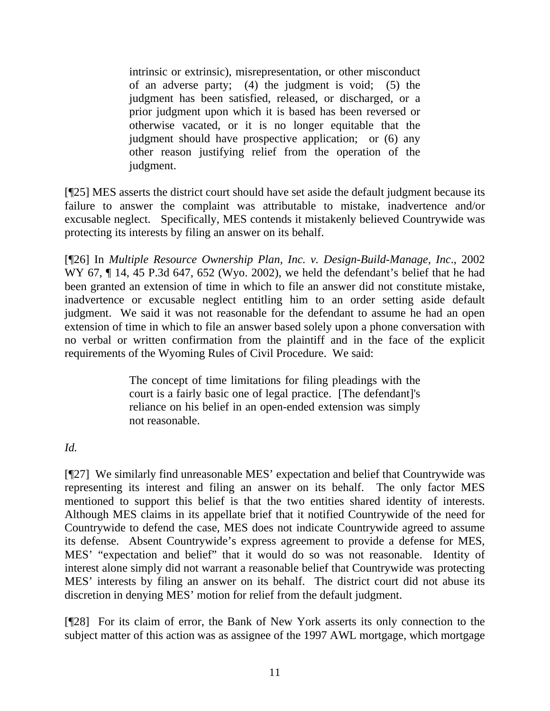intrinsic or extrinsic), misrepresentation, or other misconduct of an adverse party; (4) the judgment is void; (5) the judgment has been satisfied, released, or discharged, or a prior judgment upon which it is based has been reversed or otherwise vacated, or it is no longer equitable that the judgment should have prospective application; or (6) any other reason justifying relief from the operation of the judgment.

[¶25] MES asserts the district court should have set aside the default judgment because its failure to answer the complaint was attributable to mistake, inadvertence and/or excusable neglect. Specifically, MES contends it mistakenly believed Countrywide was protecting its interests by filing an answer on its behalf.

[¶26] In *Multiple Resource Ownership Plan, Inc. v. Design-Build-Manage, Inc*., 2002 WY 67,  $\P$  14, 45 P.3d 647, 652 (Wyo. 2002), we held the defendant's belief that he had been granted an extension of time in which to file an answer did not constitute mistake, inadvertence or excusable neglect entitling him to an order setting aside default judgment. We said it was not reasonable for the defendant to assume he had an open extension of time in which to file an answer based solely upon a phone conversation with no verbal or written confirmation from the plaintiff and in the face of the explicit requirements of the Wyoming Rules of Civil Procedure. We said:

> The concept of time limitations for filing pleadings with the court is a fairly basic one of legal practice. [The defendant]'s reliance on his belief in an open-ended extension was simply not reasonable.

## *Id.*

[¶27] We similarly find unreasonable MES' expectation and belief that Countrywide was representing its interest and filing an answer on its behalf. The only factor MES mentioned to support this belief is that the two entities shared identity of interests. Although MES claims in its appellate brief that it notified Countrywide of the need for Countrywide to defend the case, MES does not indicate Countrywide agreed to assume its defense. Absent Countrywide's express agreement to provide a defense for MES, MES' "expectation and belief" that it would do so was not reasonable. Identity of interest alone simply did not warrant a reasonable belief that Countrywide was protecting MES' interests by filing an answer on its behalf. The district court did not abuse its discretion in denying MES' motion for relief from the default judgment.

[¶28] For its claim of error, the Bank of New York asserts its only connection to the subject matter of this action was as assignee of the 1997 AWL mortgage, which mortgage